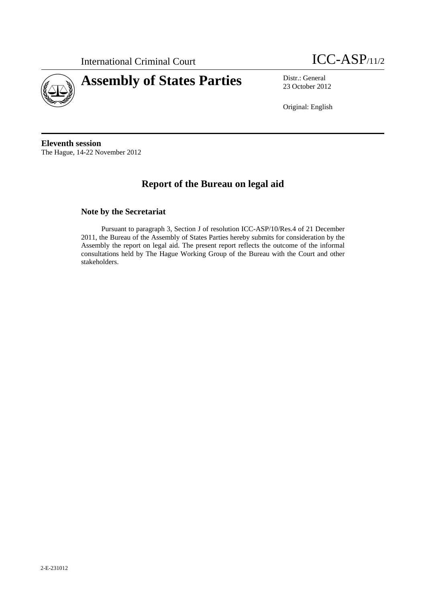International Criminal Court **ICC-ASP**/11/2



23 October 2012

Original: English

**Eleventh session**  The Hague, 14-22 November 2012

# **Report of the Bureau on legal aid**

#### **Note by the Secretariat**

Pursuant to paragraph 3, Section J of resolution ICC-ASP/10/Res.4 of 21 December 2011, the Bureau of the Assembly of States Parties hereby submits for consideration by the Assembly the report on legal aid. The present report reflects the outcome of the informal consultations held by The Hague Working Group of the Bureau with the Court and other stakeholders.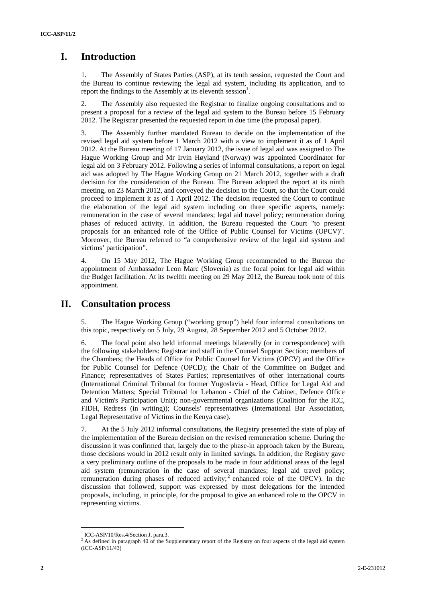## **I. Introduction**

1. The Assembly of States Parties (ASP), at its tenth session, requested the Court and the Bureau to continue reviewing the legal aid system, including its application, and to report the findings to the Assembly at its eleventh session<sup>1</sup>.

2. The Assembly also requested the Registrar to finalize ongoing consultations and to present a proposal for a review of the legal aid system to the Bureau before 15 February 2012. The Registrar presented the requested report in due time (the proposal paper).

3. The Assembly further mandated Bureau to decide on the implementation of the revised legal aid system before 1 March 2012 with a view to implement it as of 1 April 2012. At the Bureau meeting of 17 January 2012, the issue of legal aid was assigned to The Hague Working Group and Mr Irvin Høyland (Norway) was appointed Coordinator for legal aid on 3 February 2012. Following a series of informal consultations, a report on legal aid was adopted by The Hague Working Group on 21 March 2012, together with a draft decision for the consideration of the Bureau. The Bureau adopted the report at its ninth meeting, on 23 March 2012, and conveyed the decision to the Court, so that the Court could proceed to implement it as of 1 April 2012. The decision requested the Court to continue the elaboration of the legal aid system including on three specific aspects, namely: remuneration in the case of several mandates; legal aid travel policy; remuneration during phases of reduced activity. In addition, the Bureau requested the Court "to present proposals for an enhanced role of the Office of Public Counsel for Victims (OPCV)". Moreover, the Bureau referred to "a comprehensive review of the legal aid system and victims' participation".

4. On 15 May 2012, The Hague Working Group recommended to the Bureau the appointment of Ambassador Leon Marc (Slovenia) as the focal point for legal aid within the Budget facilitation. At its twelfth meeting on 29 May 2012, the Bureau took note of this appointment.

### **II. Consultation process**

5. The Hague Working Group ("working group") held four informal consultations on this topic, respectively on 5 July, 29 August, 28 September 2012 and 5 October 2012.

6. The focal point also held informal meetings bilaterally (or in correspondence) with the following stakeholders: Registrar and staff in the Counsel Support Section; members of the Chambers; the Heads of Office for Public Counsel for Victims (OPCV) and the Office for Public Counsel for Defence (OPCD); the Chair of the Committee on Budget and Finance; representatives of States Parties; representatives of other international courts (International Criminal Tribunal for former Yugoslavia - Head, Office for Legal Aid and Detention Matters; Special Tribunal for Lebanon - Chief of the Cabinet, Defence Office and Victim's Participation Unit); non-governmental organizations (Coalition for the ICC, FIDH, Redress (in writing)); Counsels' representatives (International Bar Association, Legal Representative of Victims in the Kenya case).

7. At the 5 July 2012 informal consultations, the Registry presented the state of play of the implementation of the Bureau decision on the revised remuneration scheme. During the discussion it was confirmed that, largely due to the phase-in approach taken by the Bureau, those decisions would in 2012 result only in limited savings. In addition, the Registry gave a very preliminary outline of the proposals to be made in four additional areas of the legal aid system (remuneration in the case of several mandates; legal aid travel policy; remuneration during phases of reduced activity;<sup>2</sup> enhanced role of the OPCV). In the discussion that followed, support was expressed by most delegations for the intended proposals, including, in principle, for the proposal to give an enhanced role to the OPCV in representing victims.

 $\overline{a}$ 

<sup>&</sup>lt;sup>1</sup> ICC-ASP/10/Res.4/Section J, para.3.

<sup>&</sup>lt;sup>2</sup> As defined in paragraph 40 of the Supplementary report of the Registry on four aspects of the legal aid system (ICC-ASP/11/43)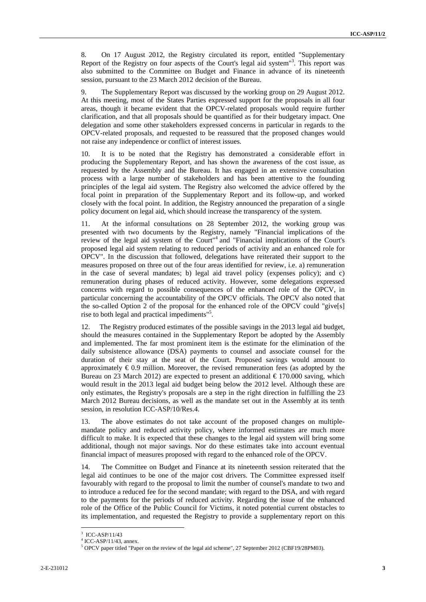8. On 17 August 2012, the Registry circulated its report, entitled "Supplementary Report of the Registry on four aspects of the Court's legal aid system"<sup>3</sup> . This report was also submitted to the Committee on Budget and Finance in advance of its nineteenth session, pursuant to the 23 March 2012 decision of the Bureau.

9. The Supplementary Report was discussed by the working group on 29 August 2012. At this meeting, most of the States Parties expressed support for the proposals in all four areas, though it became evident that the OPCV-related proposals would require further clarification, and that all proposals should be quantified as for their budgetary impact. One delegation and some other stakeholders expressed concerns in particular in regards to the OPCV-related proposals, and requested to be reassured that the proposed changes would not raise any independence or conflict of interest issues.

10. It is to be noted that the Registry has demonstrated a considerable effort in producing the Supplementary Report, and has shown the awareness of the cost issue, as requested by the Assembly and the Bureau. It has engaged in an extensive consultation process with a large number of stakeholders and has been attentive to the founding principles of the legal aid system. The Registry also welcomed the advice offered by the focal point in preparation of the Supplementary Report and its follow-up, and worked closely with the focal point. In addition, the Registry announced the preparation of a single policy document on legal aid, which should increase the transparency of the system.

11. At the informal consultations on 28 September 2012, the working group was presented with two documents by the Registry, namely "Financial implications of the review of the legal aid system of the Court"<sup>4</sup> and "Financial implications of the Court's proposed legal aid system relating to reduced periods of activity and an enhanced role for OPCV". In the discussion that followed, delegations have reiterated their support to the measures proposed on three out of the four areas identified for review, i.e. a) remuneration in the case of several mandates; b) legal aid travel policy (expenses policy); and c) remuneration during phases of reduced activity. However, some delegations expressed concerns with regard to possible consequences of the enhanced role of the OPCV, in particular concerning the accountability of the OPCV officials. The OPCV also noted that the so-called Option 2 of the proposal for the enhanced role of the OPCV could "give[s] rise to both legal and practical impediments"<sup>5</sup>.

12. The Registry produced estimates of the possible savings in the 2013 legal aid budget, should the measures contained in the Supplementary Report be adopted by the Assembly and implemented. The far most prominent item is the estimate for the elimination of the daily subsistence allowance (DSA) payments to counsel and associate counsel for the duration of their stay at the seat of the Court. Proposed savings would amount to approximately  $\epsilon$ 0.9 million. Moreover, the revised remuneration fees (as adopted by the Bureau on 23 March 2012) are expected to present an additional  $\epsilon$  170.000 saving, which would result in the 2013 legal aid budget being below the 2012 level. Although these are only estimates, the Registry's proposals are a step in the right direction in fulfilling the 23 March 2012 Bureau decisions, as well as the mandate set out in the Assembly at its tenth session, in resolution ICC-ASP/10/Res.4.

13. The above estimates do not take account of the proposed changes on multiplemandate policy and reduced activity policy, where informed estimates are much more difficult to make. It is expected that these changes to the legal aid system will bring some additional, though not major savings. Nor do these estimates take into account eventual financial impact of measures proposed with regard to the enhanced role of the OPCV.

14. The Committee on Budget and Finance at its nineteenth session reiterated that the legal aid continues to be one of the major cost drivers. The Committee expressed itself favourably with regard to the proposal to limit the number of counsel's mandate to two and to introduce a reduced fee for the second mandate; with regard to the DSA, and with regard to the payments for the periods of reduced activity. Regarding the issue of the enhanced role of the Office of the Public Council for Victims, it noted potential current obstacles to its implementation, and requested the Registry to provide a supplementary report on this

 $\overline{a}$ 

<sup>3</sup> ICC-ASP/11/43

<sup>4</sup> ICC-ASP/11/43, annex.

<sup>&</sup>lt;sup>5</sup> OPCV paper titled "Paper on the review of the legal aid scheme", 27 September 2012 (CBF19/28PM03).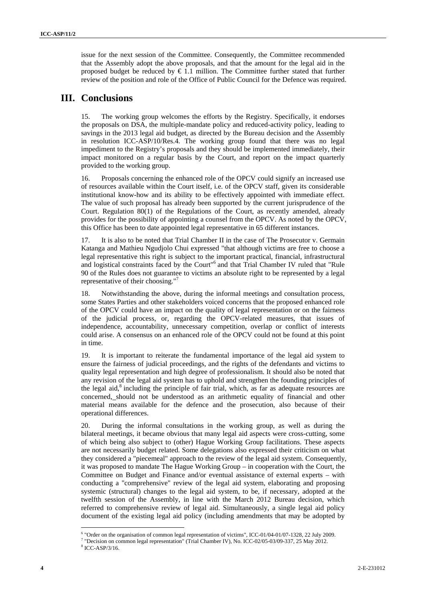issue for the next session of the Committee. Consequently, the Committee recommended that the Assembly adopt the above proposals, and that the amount for the legal aid in the proposed budget be reduced by  $\in$  1.1 million. The Committee further stated that further review of the position and role of the Office of Public Council for the Defence was required.

### **III. Conclusions**

15. The working group welcomes the efforts by the Registry. Specifically, it endorses the proposals on DSA, the multiple-mandate policy and reduced-activity policy, leading to savings in the 2013 legal aid budget, as directed by the Bureau decision and the Assembly in resolution ICC-ASP/10/Res.4. The working group found that there was no legal impediment to the Registry's proposals and they should be implemented immediately, their impact monitored on a regular basis by the Court, and report on the impact quarterly provided to the working group.

16. Proposals concerning the enhanced role of the OPCV could signify an increased use of resources available within the Court itself, i.e. of the OPCV staff, given its considerable institutional know-how and its ability to be effectively appointed with immediate effect. The value of such proposal has already been supported by the current jurisprudence of the Court. Regulation 80(1) of the Regulations of the Court, as recently amended, already provides for the possibility of appointing a counsel from the OPCV. As noted by the OPCV, this Office has been to date appointed legal representative in 65 different instances.

17. It is also to be noted that Trial Chamber II in the case of The Prosecutor v. Germain Katanga and Mathieu Ngudjolo Chui expressed "that although victims are free to choose a legal representative this right is subject to the important practical, financial, infrastructural and logistical constraints faced by the Court"6 and that Trial Chamber IV ruled that "Rule 90 of the Rules does not guarantee to victims an absolute right to be represented by a legal representative of their choosing."

18. Notwithstanding the above, during the informal meetings and consultation process, some States Parties and other stakeholders voiced concerns that the proposed enhanced role of the OPCV could have an impact on the quality of legal representation or on the fairness of the judicial process, or, regarding the OPCV-related measures, that issues of independence, accountability, unnecessary competition, overlap or conflict of interests could arise. A consensus on an enhanced role of the OPCV could not be found at this point in time.

19. It is important to reiterate the fundamental importance of the legal aid system to ensure the fairness of judicial proceedings, and the rights of the defendants and victims to quality legal representation and high degree of professionalism. It should also be noted that any revision of the legal aid system has to uphold and strengthen the founding principles of the legal aid, $8$  including the principle of fair trial, which, as far as adequate resources are concerned, should not be understood as an arithmetic equality of financial and other material means available for the defence and the prosecution, also because of their operational differences.

20. During the informal consultations in the working group, as well as during the bilateral meetings, it became obvious that many legal aid aspects were cross-cutting, some of which being also subject to (other) Hague Working Group facilitations. These aspects are not necessarily budget related. Some delegations also expressed their criticism on what they considered a "piecemeal" approach to the review of the legal aid system. Consequently, it was proposed to mandate The Hague Working Group – in cooperation with the Court, the Committee on Budget and Finance and/or eventual assistance of external experts – with conducting a "comprehensive" review of the legal aid system, elaborating and proposing systemic (structural) changes to the legal aid system, to be, if necessary, adopted at the twelfth session of the Assembly, in line with the March 2012 Bureau decision, which referred to comprehensive review of legal aid. Simultaneously, a single legal aid policy document of the existing legal aid policy (including amendments that may be adopted by

<sup>&</sup>lt;sup>6</sup> "Order on the organisation of common legal representation of victims", ICC-01/04-01/07-1328, 22 July 2009.

<sup>&</sup>lt;sup>7</sup> "Decision on common legal representation" (Trial Chamber IV), No. ICC-02/05-03/09-337, 25 May 2012.

<sup>&</sup>lt;sup>8</sup> ICC-ASP/3/16.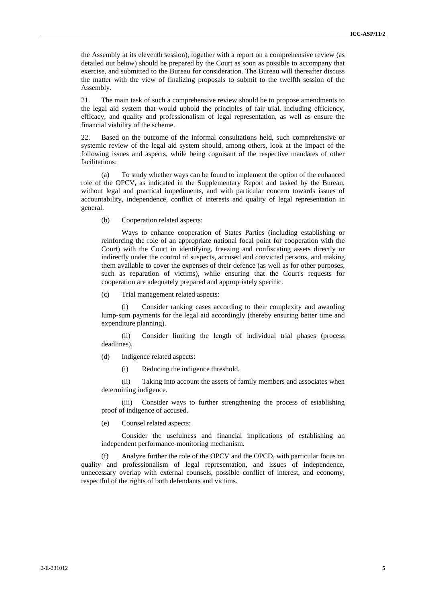the Assembly at its eleventh session), together with a report on a comprehensive review (as detailed out below) should be prepared by the Court as soon as possible to accompany that exercise, and submitted to the Bureau for consideration. The Bureau will thereafter discuss the matter with the view of finalizing proposals to submit to the twelfth session of the Assembly.

21. The main task of such a comprehensive review should be to propose amendments to the legal aid system that would uphold the principles of fair trial, including efficiency, efficacy, and quality and professionalism of legal representation, as well as ensure the financial viability of the scheme.

22. Based on the outcome of the informal consultations held, such comprehensive or systemic review of the legal aid system should, among others, look at the impact of the following issues and aspects, while being cognisant of the respective mandates of other facilitations:

(a) To study whether ways can be found to implement the option of the enhanced role of the OPCV, as indicated in the Supplementary Report and tasked by the Bureau, without legal and practical impediments, and with particular concern towards issues of accountability, independence, conflict of interests and quality of legal representation in general.

(b) Cooperation related aspects:

Ways to enhance cooperation of States Parties (including establishing or reinforcing the role of an appropriate national focal point for cooperation with the Court) with the Court in identifying, freezing and confiscating assets directly or indirectly under the control of suspects, accused and convicted persons, and making them available to cover the expenses of their defence (as well as for other purposes, such as reparation of victims), while ensuring that the Court's requests for cooperation are adequately prepared and appropriately specific.

(c) Trial management related aspects:

(i) Consider ranking cases according to their complexity and awarding lump-sum payments for the legal aid accordingly (thereby ensuring better time and expenditure planning).

(ii) Consider limiting the length of individual trial phases (process deadlines).

(d) Indigence related aspects:

(i) Reducing the indigence threshold.

(ii) Taking into account the assets of family members and associates when determining indigence.

(iii) Consider ways to further strengthening the process of establishing proof of indigence of accused.

(e) Counsel related aspects:

Consider the usefulness and financial implications of establishing an independent performance-monitoring mechanism.

(f) Analyze further the role of the OPCV and the OPCD, with particular focus on quality and professionalism of legal representation, and issues of independence, unnecessary overlap with external counsels, possible conflict of interest, and economy, respectful of the rights of both defendants and victims.